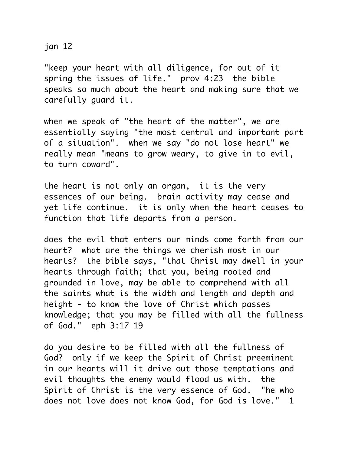jan 12

"keep your heart with all diligence, for out of it spring the issues of life." prov 4:23 the bible speaks so much about the heart and making sure that we carefully guard it.

when we speak of "the heart of the matter", we are essentially saying "the most central and important part of a situation". when we say "do not lose heart" we really mean "means to grow weary, to give in to evil, to turn coward".

the heart is not only an organ, it is the very essences of our being. brain activity may cease and yet life continue. it is only when the heart ceases to function that life departs from a person.

does the evil that enters our minds come forth from our heart? what are the things we cherish most in our hearts? the bible says, "that Christ may dwell in your hearts through faith; that you, being rooted and grounded in love, may be able to comprehend with all the saints what is the width and length and depth and height - to know the love of Christ which passes knowledge; that you may be filled with all the fullness of God." eph 3:17-19

do you desire to be filled with all the fullness of God? only if we keep the Spirit of Christ preeminent in our hearts will it drive out those temptations and evil thoughts the enemy would flood us with. the Spirit of Christ is the very essence of God. "he who does not love does not know God, for God is love." 1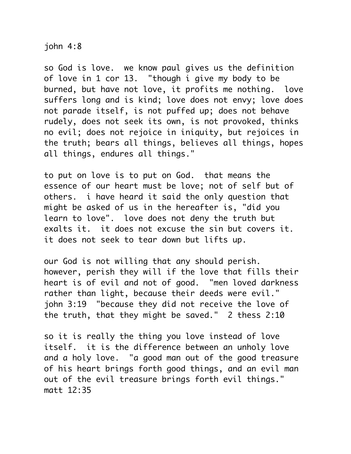john 4:8

so God is love. we know paul gives us the definition of love in 1 cor 13. "though i give my body to be burned, but have not love, it profits me nothing. love suffers long and is kind; love does not envy; love does not parade itself, is not puffed up; does not behave rudely, does not seek its own, is not provoked, thinks no evil; does not rejoice in iniquity, but rejoices in the truth; bears all things, believes all things, hopes all things, endures all things."

to put on love is to put on God. that means the essence of our heart must be love; not of self but of others. i have heard it said the only question that might be asked of us in the hereafter is, "did you learn to love". love does not deny the truth but exalts it. it does not excuse the sin but covers it. it does not seek to tear down but lifts up.

our God is not willing that any should perish. however, perish they will if the love that fills their heart is of evil and not of good. "men loved darkness rather than light, because their deeds were evil." john 3:19 "because they did not receive the love of the truth, that they might be saved." 2 thess 2:10

so it is really the thing you love instead of love itself. it is the difference between an unholy love and a holy love. "a good man out of the good treasure of his heart brings forth good things, and an evil man out of the evil treasure brings forth evil things." matt 12:35